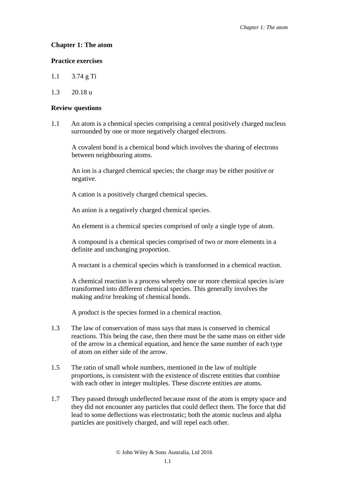# **Chapter 1: The atom**

## **Practice exercises**

- 1.1 3.74 g Ti
- 1.3 20.18 u

## **Review questions**

1.1 An atom is a chemical species comprising a central positively charged nucleus surrounded by one or more negatively charged electrons.

A covalent bond is a chemical bond which involves the sharing of electrons between neighbouring atoms.

An ion is a charged chemical species; the charge may be either positive or negative.

A cation is a positively charged chemical species.

An anion is a negatively charged chemical species.

An element is a chemical species comprised of only a single type of atom.

A compound is a chemical species comprised of two or more elements in a definite and unchanging proportion.

A reactant is a chemical species which is transformed in a chemical reaction.

A chemical reaction is a process whereby one or more chemical species is/are transformed into different chemical species. This generally involves the making and/or breaking of chemical bonds.

A product is the species formed in a chemical reaction.

- 1.3 The law of conservation of mass says that mass is conserved in chemical reactions. This being the case, then there must be the same mass on either side of the arrow in a chemical equation, and hence the same number of each type of atom on either side of the arrow.
- 1.5 The ratio of small whole numbers, mentioned in the law of multiple proportions, is consistent with the existence of discrete entities that combine with each other in integer multiples. These discrete entities are atoms.
- 1.7 They passed through undeflected because most of the atom is empty space and they did not encounter any particles that could deflect them. The force that did lead to some deflections was electrostatic; both the atomic nucleus and alpha particles are positively charged, and will repel each other.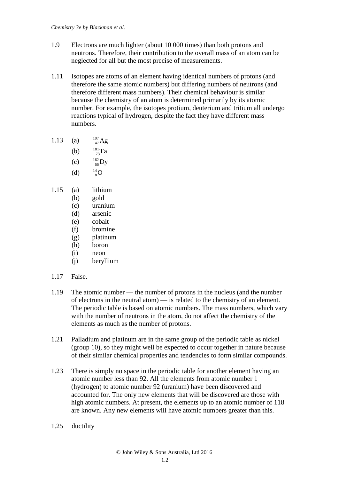- 1.9 Electrons are much lighter (about 10 000 times) than both protons and neutrons. Therefore, their contribution to the overall mass of an atom can be neglected for all but the most precise of measurements.
- 1.11 Isotopes are atoms of an element having identical numbers of protons (and therefore the same atomic numbers) but differing numbers of neutrons (and therefore different mass numbers). Their chemical behaviour is similar because the chemistry of an atom is determined primarily by its atomic number. For example, the isotopes protium, deuterium and tritium all undergo reactions typical of hydrogen, despite the fact they have different mass numbers.
- 1.13 (a)  $^{107}_{47}$ Ag
	- (b)  $\frac{181}{73}Ta$
	- $(c)$  $^{162}_{66}$ Dy
	- $(d)$  $^{14}_{8}$ O
	-
- 1.15 (a) lithium
	- (b) gold
	- (c) uranium
	- (d) arsenic
	- (e) cobalt
	- (f) bromine
	- (g) platinum
	- (h) boron
	- (i) neon
	- (j) beryllium
- 1.17 False.
- 1.19 The atomic number the number of protons in the nucleus (and the number of electrons in the neutral atom) — is related to the chemistry of an element. The periodic table is based on atomic numbers. The mass numbers, which vary with the number of neutrons in the atom, do not affect the chemistry of the elements as much as the number of protons.
- 1.21 Palladium and platinum are in the same group of the periodic table as nickel (group 10), so they might well be expected to occur together in nature because of their similar chemical properties and tendencies to form similar compounds.
- 1.23 There is simply no space in the periodic table for another element having an atomic number less than 92. All the elements from atomic number 1 (hydrogen) to atomic number 92 (uranium) have been discovered and accounted for. The only new elements that will be discovered are those with high atomic numbers. At present, the elements up to an atomic number of 118 are known. Any new elements will have atomic numbers greater than this.
- 1.25 ductility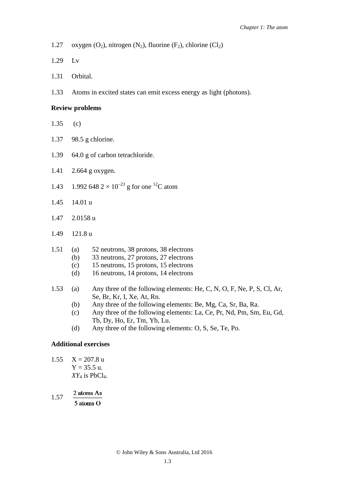- 1.27 oxygen  $(O_2)$ , nitrogen  $(N_2)$ , fluorine  $(F_2)$ , chlorine  $(Cl_2)$
- 1.29 Lv
- 1.31 Orbital.
- 1.33 Atoms in excited states can emit excess energy as light (photons).

#### **Review problems**

- 1.35 (c)
- 1.37 98.5 g chlorine.
- 1.39 64.0 g of carbon tetrachloride.
- 1.41 2.664 g oxygen.
- 1.43 1.992 648  $2 \times 10^{-23}$  g for one <sup>12</sup>C atom
- 1.45 14.01 u
- 1.47 2.0158 u
- 1.49 121.8 u
- 1.51 (a) 52 neutrons, 38 protons, 38 electrons
	- (b) 33 neutrons, 27 protons, 27 electrons
	- (c) 15 neutrons, 15 protons, 15 electrons
	- (d) 16 neutrons, 14 protons, 14 electrons
- 1.53 (a) Any three of the following elements: He, C, N, O, F, Ne, P, S, Cl, Ar, Se, Br, Kr, I, Xe, At, Rn.
	- (b) Any three of the following elements: Be, Mg, Ca, Sr, Ba, Ra.
	- (c) Any three of the following elements: La, Ce, Pr, Nd, Pm, Sm, Eu, Gd, Tb, Dy, Ho, Er, Tm, Yb, Lu.
	- (d) Any three of the following elements: O, S, Se, Te, Po.

#### **Additional exercises**

- 1.55  $X = 207.8$  u  $Y = 35.5$  u.  $XY_4$  is PbCl<sub>4</sub>.
- 2 atoms As 1.57  $5$  atoms  $O$